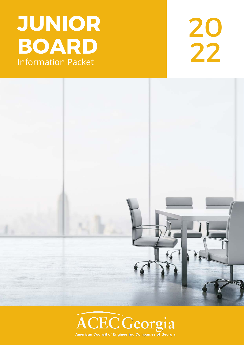## **JUNIOR BOARD** 22

# 20<br>22



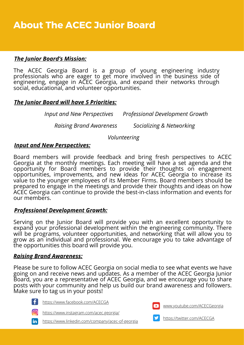#### *The Junior Board's Mission:*

The ACEC Georgia Board is a group of young engineering industry professionals who are eager to get more involved in the business side of engineering, engage in ACEC Georgia, and expand their networks through social, educational, and volunteer opportunities.

#### *The Junior Board will have 5 Priorities:*

*Input and New Perspectives Professional Development Growth* 

 *Raising Brand Awareness Socializing & Networking* 

 *Volunteering* 

#### *Input and New Perspectives:*

Board members will provide feedback and bring fresh perspectives to ACEC Georgia at the monthly meetings. Each meeting will have a set agenda and the opportunity for Board members to provide their thoughts on engagement opportunities, improvements, and new ideas for ACEC Georgia to increase its value to the younger employees of its Member Firms. Board members should be prepared to engage in the meetings and provide their thoughts and ideas on how ACEC Georgia can continue to provide the best-in-class information and events for our members.

#### *Professional Development Growth:*

Serving on the Junior Board will provide you with an excellent opportunity to expand your professional development within the engineering community. There will be programs, volunteer opportunities, and networking that will allow you to grow as an individual and professional. We encourage you to take advantage of the opportunities this board will provide you.

#### *Raising Brand Awareness:*

Please be sure to follow ACEC Georgia on social media to see what events we have going on and receive news and updates. As a member of the ACEC Georgia Junior Board, you are a representative of ACEC Georgia, and we encourage you to share posts with your community and help us build our brand awareness and followers. Make sure to tag us in your posts!



<https://www.facebook.com/ACECGA>

<https://www.instagram.com/acec.georgia/>





[www.youtube.com/ACECGeorgia](https://www.youtube.com/channel/UCS_A_Mpaoi6nDGwtVZg-HBA)



<https://twitter.com/ACECGA>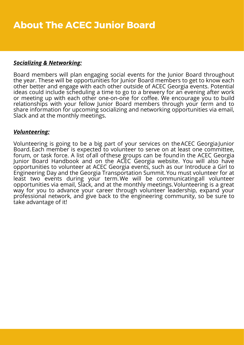#### *Socializing & Networking:*

Board members will plan engaging social events for the Junior Board throughout the year. These will be opportunities for Junior Board members to get to know each other better and engage with each other outside of ACEC Georgia events. Potential ideas could include scheduling a time to go to a brewery for an evening after work or meeting up with each other one-on-one for coffee. We encourage you to build relationships with your fellow Junior Board members through your term and to share information for upcoming socializing and networking opportunities via email, Slack and at the monthly meetings.

#### *Volunteering:*

Volunteering is going to be a big part of your services on the ACEC Georgia Junior Board. Each member is expected to volunteer to serve on at least one committee, forum, or task force. A list of all of these groups can be found in the ACEC Georgia Junior Board Handbook and on the ACEC Georgia website. You will also have opportunities to volunteer at ACEC Georgia events, such as our Introduce a Girl to Engineering Day and the Georgia Transportation Summit. You must volunteer for at least two events during your term. We will be communicating all volunteer opportunities via email, Slack, and at the monthly meetings. Volunteering is a great way for you to advance your career through volunteer leadership, expand your professional network, and give back to the engineering community, so be sure to take advantage of it!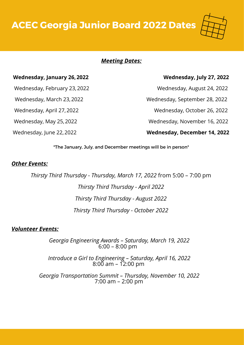**ACEC Georgia Junior Board 2022 Dates**



#### *Meeting Dates:*

#### **Wednesday, January 26, 2022 Wednesday, July 27, 2022**

Wednesday, February 23, 2022 Wednesday, August 24, 2022

Wednesday, March 23, 2022 Wednesday, September 28, 2022

Wednesday, April 27, 2022 Wednesday, October 26, 2022

Wednesday, May 25, 2022 Wednesday, November 16, 2022

Wednesday, June 22, 2022 **Wednesday, December 14, 2022**

\*The January, July, and December meetings will be in person\*

#### *Other Events:*

*Thirsty Third Thursday - Thursday, March 17, 2022* from 5:00 – 7:00 pm *Thirsty Third Thursday - April 2022 Thirsty Third Thursday - August 2022* 

*Thirsty Third Thursday - October 2022* 

#### *Volunteer Events:*

*Georgia Engineering Awards – Saturday, March 19, 2022* 6:00 – 8:00 pm

*Introduce a Girl to Engineering – Saturday, April 16, 2022* 8:00 am – 12:00 pm

*Georgia Transportation Summit – Thursday, November 10, 2022* 7:00 am – 2:00 pm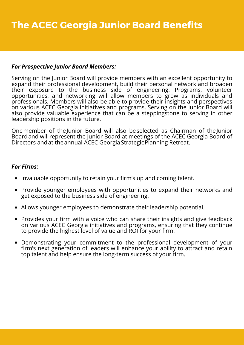#### *For Prospective Junior Board Members:*

Serving on the Junior Board will provide members with an excellent opportunity to expand their professional development, build their personal network and broaden their exposure to the business side of engineering. Programs, volunteer opportunities, and networking will allow members to grow as individuals and professionals. Members will also be able to provide their insights and perspectives on various ACEC Georgia initiatives and programs. Serving on the Junior Board will also provide valuable experience that can be a steppingstone to serving in other leadership positions in the future.

One member of the Junior Board will also be selected as Chairman of the Junior Board and will represent the Junior Board at meetings of the ACEC Georgia Board of Directors and at the annual ACEC Georgia Strategic Planning Retreat.

#### *For Firms:*

- Invaluable opportunity to retain your firm's up and coming talent.
- Provide younger employees with opportunities to expand their networks and get exposed to the business side of engineering.
- Allows younger employees to demonstrate their leadership potential.
- Provides your firm with a voice who can share their insights and give feedback on various ACEC Georgia initiatives and programs, ensuring that they continue to provide the highest level of value and ROI for your firm.
- Demonstrating your commitment to the professional development of your firm's next generation of leaders will enhance your ability to attract and retain top talent and help ensure the long-term success of your firm.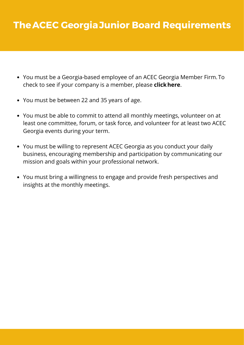#### **The ACEC Georgia Junior Board Requirements**

- You must be a Georgia-based employee of an ACEC Georgia Member Firm. To check to see if your company is a member, please **click [here](https://www.acecga.org/list/)**.
- You must be between 22 and 35 years of age.
- You must be able to commit to attend all monthly meetings, volunteer on at least one committee, forum, or task force, and volunteer for at least two ACEC Georgia events during your term.
- You must be willing to represent ACEC Georgia as you conduct your daily business, encouraging membership and participation by communicating our mission and goals within your professional network.
- You must bring a willingness to engage and provide fresh perspectives and insights at the monthly meetings.